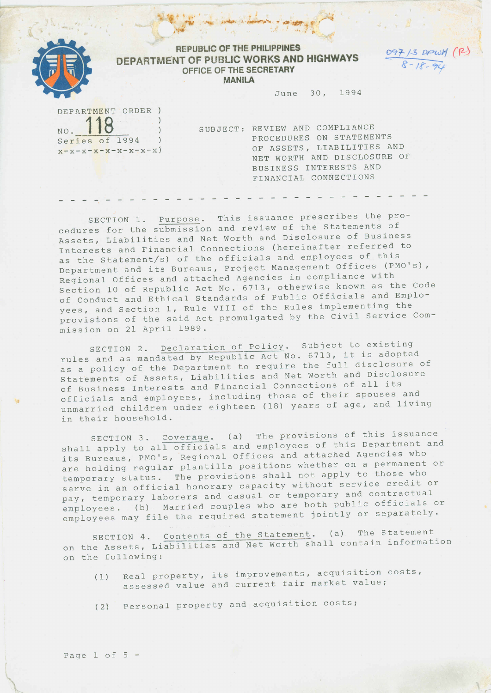

## **REPUBlIC OF THE PHlllPPINES DEPARTMENT OF PUBLIC WORKS AND HIGHWAYS OFFICE OF THE SECRETARY MANILA**

.. ..• **• .~,.~ • A»i:ri:!'r' , ".-**

 $\mathcal{N}$  .  $\mathcal{N}$  . The set ,  $\mathcal{E} \rightarrow \mathcal{E}$  and  $\mathcal{E} \rightarrow \mathcal{E}$ 

> **!}9***t-*/--!' *oPWJ1* (f2-) *s- /t"~*

> > *r:*

June 30, 1994

DEPARTMENT ORDER ) NO. **118**  $\lambda$ Series of 1994  $\lambda$  $x-x-x-x-x-x-x-x$ )

SUBJECT: REVIEW AND COMPLIANCE PROCEDURES ON STATEMENTS OF ASSETS, LIABILITIES AND NET WORTH AND DISCLOSURE OF BUSINESS INTERESTS AND FINANCIAL CONNECTIONS

SECTION 1. Purpose. This issuance prescribes the procedures for the submission and review of the Statements of Assets, Liabilities and Net Worth and Disclosure of Business Interests and Financial Connections (hereinafter referred to as the Statement/s) of the officials and employees of this Department and its Bureaus, Project Management Offices (PMO's), Regional Offices and attached Agencies in compliance with Section 10 of Republic Act No. 6713, otherwise known as the Code of Conduct and Ethical Standards of Public Officials and Employees, and Section I, Rule VIII of the Rules implementing the provisions of the said Act promulgated by the Civil Service Commission on 21 April 1989.

- - - - - - - - - - - - - - - - - - - - - - - -

SECTION 2. Declaration of Policy. Subject to existing rules and as mandated by Republic Act No. 6713, it is adopted as a policy of the Department to require the full disclosure of statements of Assets, Liabilities and Net Worth and Disclosure of Business Interests and Financial Connections of all its officials and employees, including those of their spouses and unmarried children under eighteen (18) years of age, and living in their household.

SECTION 3. Coverage. (a) The provisions of this issuance shall apply to all officials and employees of this Department and its Bureaus, PMO's, 'Regional Offices and attached Agencies who are holding regular plantilla positions whether on a permanent or temporary status. The provisions shall not apply to those who serve in an official honorary capacity without service credit or pay, temporary laborers and casual or temporary and contractual employees. (b) Married couples who are both public officials or employees may file the required statement jointly or separately.

SECTION 4. Contents of the Statement. (a) The Statement on the Assets, Liabilities and Net Worth shall contain information on the following:

- (1) Real property, its improvements, acquisition costs, assessed value and current fair market value;
- (2) Personal property and acquisition costs;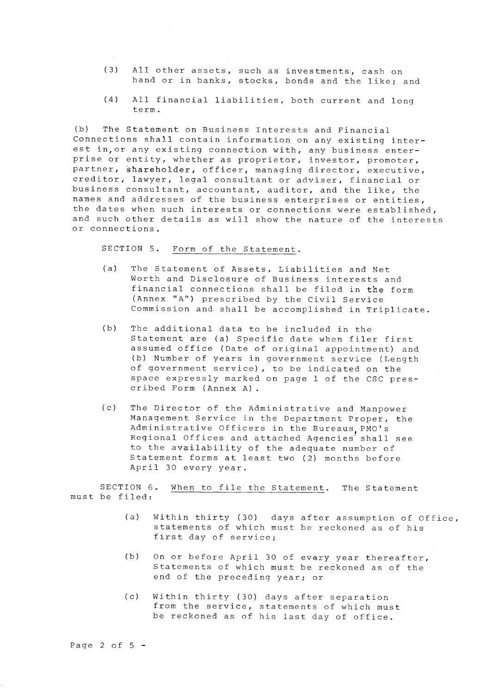- (3) All other assets, such as investments, cash on hand or in banks, stocks, bonds and the like; and
- (4) All financial liabilities, both current and long term.

(b) The Statement on Business Interests and Financial Connections shall contain information on any existing interest in,or any existing connection with, any business enterprise or entity, whether as proprietor, investor, promoter, partner, shareholder, officer, managing director, executive, creditor, lawyer, legal consultant or adviser, financial or business consultant, accountant, auditor, and the like, the names and addresses of the business enterprises or entities, the dates when such interests or connections were established, and such other details as will show the nature of the interests or connections.

SECTION 5. Form of the Statement.

- (a) The Statement of Assets, Liabilities and Net Worth and Disclosure of Business interests and financial connections shall be filed in the form (Annex "A") prescribed by the Civil Service Commission and shall be accomplished in Triplicate.
- (b) The additional data to be included in the Statement are (a) Specific date when filer first assumed office (Date of original appointment) and (b) Number of years in government service (Length of government service), to be indicated on the space expressly marked on page I of the CSC prescr ibed Form (Annex A) .
- (c) The Director of the Administrative and Manpower Management Service in the Department Proper, the Administrative Officers in the Bureaus, PMO's Regional Offices and attached Agencies' shall see to the availability of the adequate number of Statement forms at least two (2) months before April 30 every year.

SECTION 6. must be filed: When to file the Statement. The Statement

- (a) Within thirty (30) days after assumption of Office, statements of which must be reckoned as of his first day of service;
- (b) On or before April 30 of every year thereafter, Statements of which must be reckoned as of the end of the preceding year; or
- (c) Within thirty (30) days after separation from the service, statements of which must be reckoned as of his last day of office.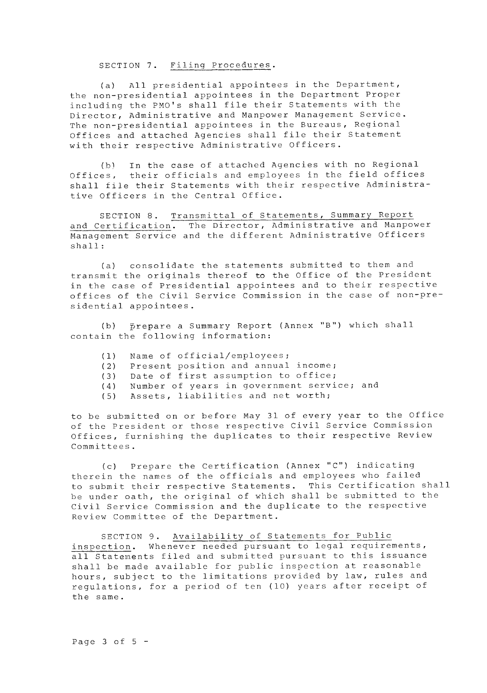SECTION 7. Filing Procedures.

(a) All presidential appointees in the Department, the non-presidential appointees in the Department Proper including the PMO's shall file their Statements with the Director, Administrative and Manpower Management Service. The non-presidential appointees in the Bureaus, Regional Offices and attached Agencies shall file their Statement with their respective Administrative Officers.

(b) In the case of attached Agencies with no Regional Offices, their officials and employees in the field offices shall file their Statements with their respective Administrative Officers in the Central Office.

SECTION **8.** Transmittal of Statements, Summary Report and Certification. The Director, Administrative and Manpower Management Service and the different Administrative Officers shall:

(a) consolidate the statements submitted to them and transmit the originals thereof to the Office of the President in the case of Presidential appointees and to their respective offices of the Civil Service Commission in the case of non-presidential appointees.

(b) prepare a Summary Report (Annex **"B")** which shall contain the following information:

- (1) Name of official/employees;
- (2) Present position and annual income;
- (3) Date of first assumption to office;
- (4) Number of years in government service; and
- (5) Assets, liabilities and net worth;

to be submitted on or before May 31 of every year to the Office of the President or those respective Civil Service Commission Offices, furnishing the duplicates to their respective Review Committees.

(c) Prepare the Certification (Annex **"C")** indicating therein the names of the officials and employees who failed to submit their respective Statements. This Certification shall be under oath, the original of which shall be submitted to the Civil Service Commission and the duplicate to the respective Review Committee of the Department.

SECTION **9.** Availability of Statements for Public inspection. Whenever needed pursuant to legal requirements, all Statements filed and submitted pursuant to this issuance shall be made available for public inspection at reasonable hours, subject to the limitations provided by law, rules and regulations, for a period of ten (10) years after receipt of the same.

Page 3 of  $5 -$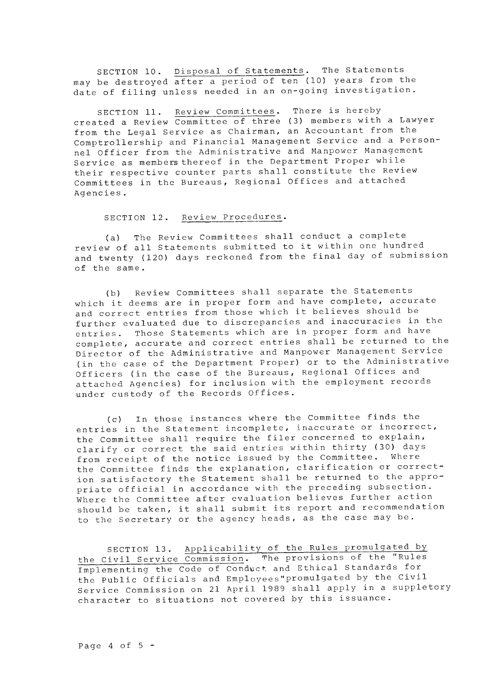SECTION **10.** Disposal of Statements. The Statements may be destroyed after a period of ten (10) years from the date of filing unless needed in an on-going investigation.

SECTION **11.** Review Committees. There is hereby created a Review Committee of three (3) members with a Lawyer from the Legal Service as Chairman, an Accountant from the Comptrollership and Financial Management Service and a Personnel Officer from the Administrative and Manpower Management Service as members thereof in the Department Proper while their respective counter parts shall constitute the Review Committees in the Bureaus, Regional Offices and attached Agencies.

## SECTION **12.** Review Procedures.

(a) The Review Committees shall conduct a complete review of all Statements submitted to it within one hundred and twenty (120) days reckoned from the final day of submission of the same.

(b) Review Committees shall separate the Statements which it deems are in proper form and have complete, accurate and correct entries from those which it believes should be further evaluated due to discrepancies and inaccuracies in the entries. Those Statements which are in proper form and have complete, accurate and correct entries shall be returned to the Director of the Administrative and Manpower Management Service (in the case of the Department Proper) or to the Administrative Officers (in the case of the Bureaus, Regional Offices and attached Agencies) for inclusion with the employment records under custody of the Records Offices.

(c) In those instances where the Committee finds the entries in the Statement incomplete, inaccurate or incorrect, the Committee shall require the filer concerned to explain, clarify or correct the said entries within thirty (30) days from receipt of the notice issued by the Committee. Where the Committee finds the explanation, clarification or correction satisfactory the Statement shall be returned to the appropriate official in accordance with the preceding subsection. Where the Committee after evaluation believes further action should be taken, it shall submit its report and recommendation to the Secretary or the agency heads, as the case may be.

SECTION **13.** Applicability of the Rules promulgated by the Civil Service Commission. The provisions of the "Rules Implementing the Code of Conduct and Ethical Standards for the Public Officials and Employees"promulgated by the Civil Service Commission on 21 April 1989 shall apply in a suppletory character to situations not covered by this issuance.